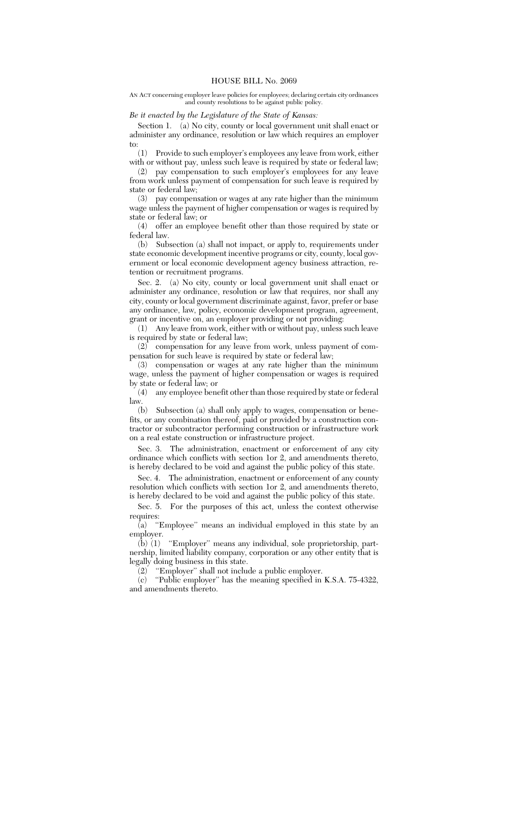AN ACT concerning employer leave policies for employees; declaring certain city ordinances and county resolutions to be against public policy.

## *Be it enacted by the Legislature of the State of Kansas:*

Section 1. (a) No city, county or local government unit shall enact or administer any ordinance, resolution or law which requires an employer to:

(1) Provide to such employer's employees any leave from work, either with or without pay, unless such leave is required by state or federal law;

(2) pay compensation to such employer's employees for any leave from work unless payment of compensation for such leave is required by state or federal law;

(3) pay compensation or wages at any rate higher than the minimum wage unless the payment of higher compensation or wages is required by state or federal law; or

(4) offer an employee benefit other than those required by state or federal law.

(b) Subsection (a) shall not impact, or apply to, requirements under state economic development incentive programs or city, county, local government or local economic development agency business attraction, retention or recruitment programs.

Sec. 2. (a) No city, county or local government unit shall enact or administer any ordinance, resolution or law that requires, nor shall any city, county or local government discriminate against, favor, prefer or base any ordinance, law, policy, economic development program, agreement, grant or incentive on, an employer providing or not providing:

(1) Any leave from work, either with or without pay, unless such leave is required by state or federal law;

(2) compensation for any leave from work, unless payment of compensation for such leave is required by state or federal law;

(3) compensation or wages at any rate higher than the minimum wage, unless the payment of higher compensation or wages is required by state or federal law; or

(4) any employee benefit other than those required by state or federal law.<br> $(b)$ 

Subsection (a) shall only apply to wages, compensation or benefits, or any combination thereof, paid or provided by a construction contractor or subcontractor performing construction or infrastructure work on a real estate construction or infrastructure project.

Sec. 3. The administration, enactment or enforcement of any city ordinance which conflicts with section 1or 2, and amendments thereto, is hereby declared to be void and against the public policy of this state.

Sec. 4. The administration, enactment or enforcement of any county resolution which conflicts with section 1or 2, and amendments thereto, is hereby declared to be void and against the public policy of this state.

Sec. 5. For the purposes of this act, unless the context otherwise requires:

(a) ''Employee'' means an individual employed in this state by an employer.

(b) (1) ''Employer'' means any individual, sole proprietorship, partnership, limited liability company, corporation or any other entity that is legally doing business in this state.

 $(2)$  "Employer" shall not include a public employer.

(c) ''Public employer'' has the meaning specified in K.S.A. 75-4322, and amendments thereto.